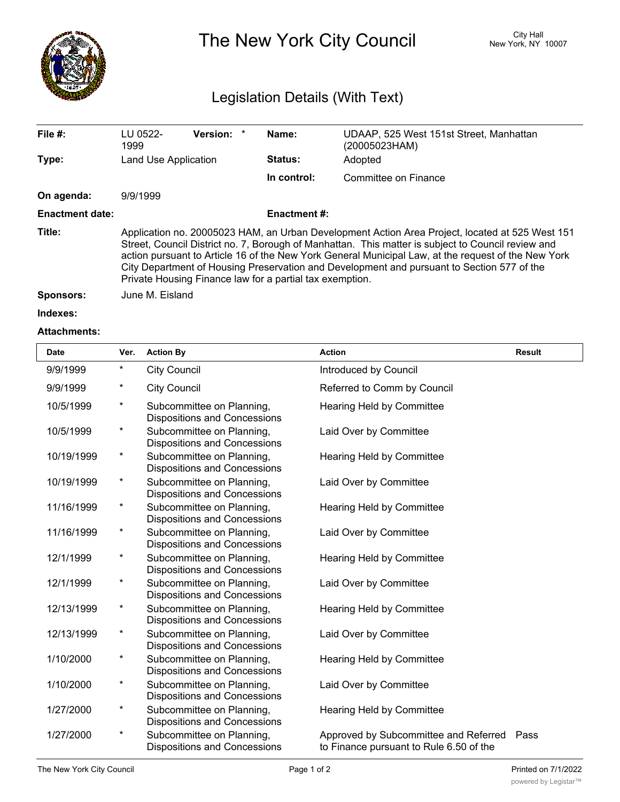

## The New York City Council New York, NY 10007

## Legislation Details (With Text)

| File $#$ :             | LU 0522-<br>1999                                                                                                                                                                                                                                                                                                                                                                                                                                                       | Version: * |  | Name:               | UDAAP, 525 West 151st Street, Manhattan<br>(20005023HAM) |  |
|------------------------|------------------------------------------------------------------------------------------------------------------------------------------------------------------------------------------------------------------------------------------------------------------------------------------------------------------------------------------------------------------------------------------------------------------------------------------------------------------------|------------|--|---------------------|----------------------------------------------------------|--|
| Type:                  | Land Use Application                                                                                                                                                                                                                                                                                                                                                                                                                                                   |            |  | <b>Status:</b>      | Adopted                                                  |  |
|                        |                                                                                                                                                                                                                                                                                                                                                                                                                                                                        |            |  | In control:         | Committee on Finance                                     |  |
| On agenda:             | 9/9/1999                                                                                                                                                                                                                                                                                                                                                                                                                                                               |            |  |                     |                                                          |  |
| <b>Enactment date:</b> |                                                                                                                                                                                                                                                                                                                                                                                                                                                                        |            |  | <b>Enactment #:</b> |                                                          |  |
| Title:                 | Application no. 20005023 HAM, an Urban Development Action Area Project, located at 525 West 151<br>Street, Council District no. 7, Borough of Manhattan. This matter is subject to Council review and<br>action pursuant to Article 16 of the New York General Municipal Law, at the request of the New York<br>City Department of Housing Preservation and Development and pursuant to Section 577 of the<br>Private Housing Finance law for a partial tax exemption. |            |  |                     |                                                          |  |
| Sponsors:              | June M. Eisland                                                                                                                                                                                                                                                                                                                                                                                                                                                        |            |  |                     |                                                          |  |

**Indexes:**

## **Attachments:**

| <b>Date</b> | Ver.                   | <b>Action By</b>                                                 | <b>Action</b>                                                                         | <b>Result</b> |
|-------------|------------------------|------------------------------------------------------------------|---------------------------------------------------------------------------------------|---------------|
| 9/9/1999    | $^\star$               | <b>City Council</b>                                              | Introduced by Council                                                                 |               |
| 9/9/1999    | *                      | <b>City Council</b>                                              | Referred to Comm by Council                                                           |               |
| 10/5/1999   | $^\star$               | Subcommittee on Planning,<br><b>Dispositions and Concessions</b> | Hearing Held by Committee                                                             |               |
| 10/5/1999   | *                      | Subcommittee on Planning,<br><b>Dispositions and Concessions</b> | Laid Over by Committee                                                                |               |
| 10/19/1999  | $^\star$               | Subcommittee on Planning,<br><b>Dispositions and Concessions</b> | Hearing Held by Committee                                                             |               |
| 10/19/1999  | $^\star$               | Subcommittee on Planning,<br><b>Dispositions and Concessions</b> | Laid Over by Committee                                                                |               |
| 11/16/1999  | $^\star$               | Subcommittee on Planning,<br>Dispositions and Concessions        | Hearing Held by Committee                                                             |               |
| 11/16/1999  | $^\star$               | Subcommittee on Planning,<br><b>Dispositions and Concessions</b> | Laid Over by Committee                                                                |               |
| 12/1/1999   | $^\star$               | Subcommittee on Planning,<br><b>Dispositions and Concessions</b> | Hearing Held by Committee                                                             |               |
| 12/1/1999   | $^\star$               | Subcommittee on Planning,<br>Dispositions and Concessions        | Laid Over by Committee                                                                |               |
| 12/13/1999  | $^\star$               | Subcommittee on Planning,<br><b>Dispositions and Concessions</b> | Hearing Held by Committee                                                             |               |
| 12/13/1999  | $\star$                | Subcommittee on Planning,<br>Dispositions and Concessions        | Laid Over by Committee                                                                |               |
| 1/10/2000   | *                      | Subcommittee on Planning,<br>Dispositions and Concessions        | Hearing Held by Committee                                                             |               |
| 1/10/2000   | $^{\tiny{\texttt{*}}}$ | Subcommittee on Planning,<br><b>Dispositions and Concessions</b> | Laid Over by Committee                                                                |               |
| 1/27/2000   | $^\star$               | Subcommittee on Planning,<br><b>Dispositions and Concessions</b> | Hearing Held by Committee                                                             |               |
| 1/27/2000   | $^\star$               | Subcommittee on Planning,<br><b>Dispositions and Concessions</b> | Approved by Subcommittee and Referred Pass<br>to Finance pursuant to Rule 6.50 of the |               |

<u>Council and</u>